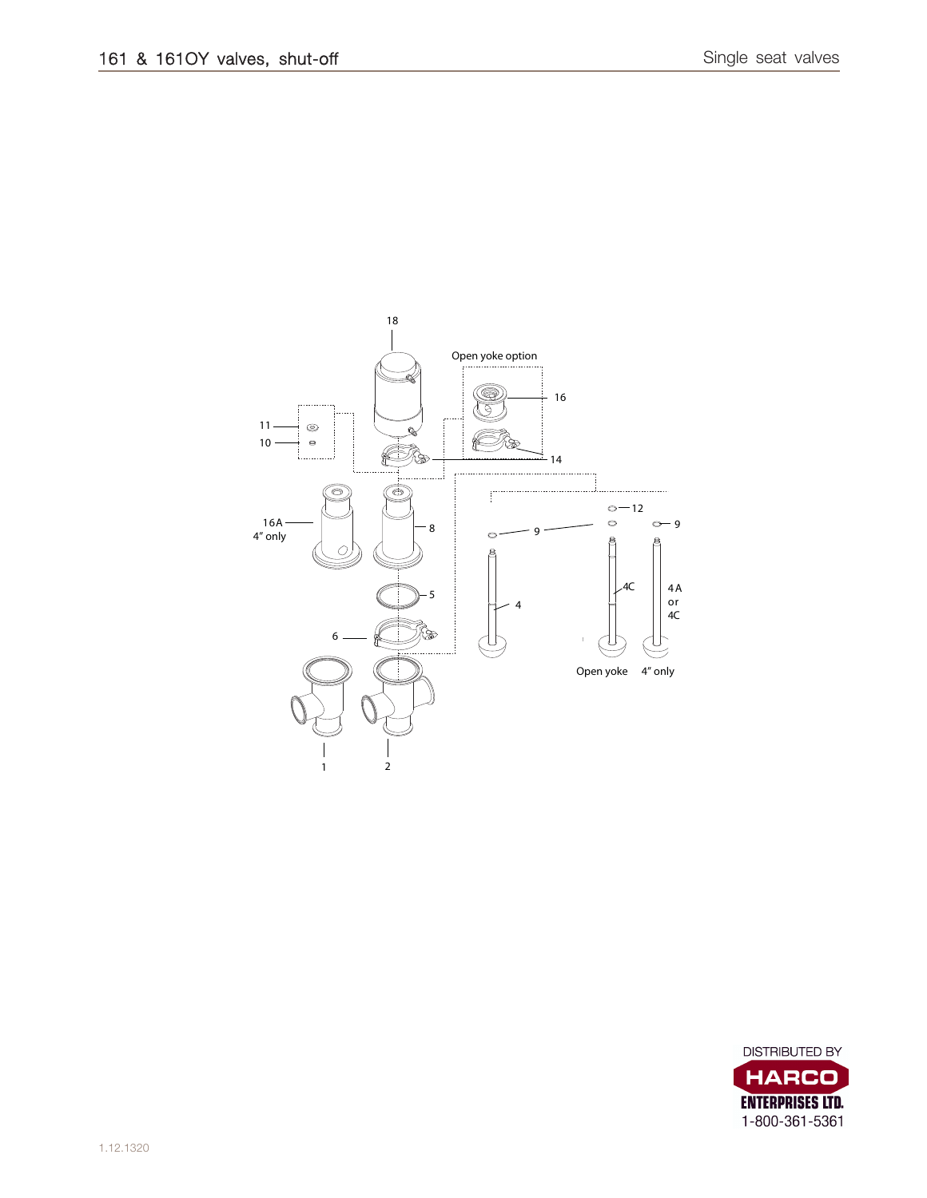

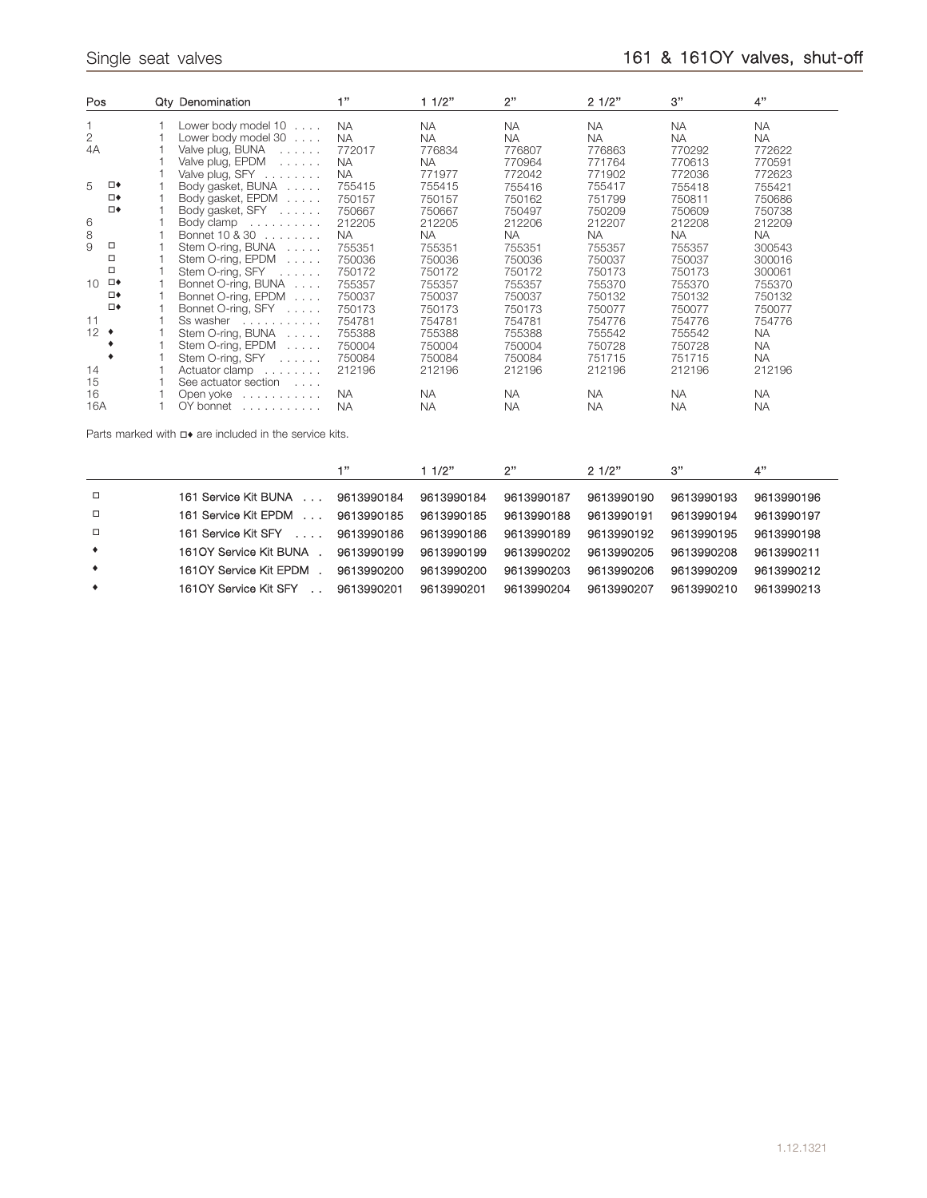| Pos            |        | Qty Denomination                   | 111       | 11/2"     | 2"        | 21/2"     | 3"        | 4"        |
|----------------|--------|------------------------------------|-----------|-----------|-----------|-----------|-----------|-----------|
|                |        | Lower body model $10 \ldots$       | <b>NA</b> | <b>NA</b> | <b>NA</b> | <b>NA</b> | <b>NA</b> | <b>NA</b> |
| $\overline{2}$ |        | Lower body model $30$              | <b>NA</b> | <b>NA</b> | <b>NA</b> | <b>NA</b> | <b>NA</b> | <b>NA</b> |
| 4A             |        | Valve plug, $BUNA$                 | 772017    | 776834    | 776807    | 776863    | 770292    | 772622    |
|                |        | Valve plug, EPDM                   | <b>NA</b> | <b>NA</b> | 770964    | 771764    | 770613    | 770591    |
|                |        | Valve plug, $SFY$                  | <b>NA</b> | 771977    | 772042    | 771902    | 772036    | 772623    |
| 5              | □◆     | Body gasket, BUNA                  | 755415    | 755415    | 755416    | 755417    | 755418    | 755421    |
|                | □◆     | Body gasket, EPDM                  | 750157    | 750157    | 750162    | 751799    | 750811    | 750686    |
|                | □◆     | Body gasket, SFY                   | 750667    | 750667    | 750497    | 750209    | 750609    | 750738    |
| 6              |        | Body clamp                         | 212205    | 212205    | 212206    | 212207    | 212208    | 212209    |
| 8              |        | Bonnet 10 & 30                     | <b>NA</b> | <b>NA</b> | <b>NA</b> | <b>NA</b> | <b>NA</b> | <b>NA</b> |
| 9              | □      | Stem O-ring, BUNA                  | 755351    | 755351    | 755351    | 755357    | 755357    | 300543    |
|                | □      | Stem O-ring, EPDM                  | 750036    | 750036    | 750036    | 750037    | 750037    | 300016    |
|                | $\Box$ | Stem O-ring, $SFY$                 | 750172    | 750172    | 750172    | 750173    | 750173    | 300061    |
| $10^{-}$       | ⊡◆     | Bonnet O-ring, BUNA                | 755357    | 755357    | 755357    | 755370    | 755370    | 755370    |
|                | □◆     | Bonnet O-ring, EPDM                | 750037    | 750037    | 750037    | 750132    | 750132    | 750132    |
|                | □◆     | Bonnet O-ring, SFY                 | 750173    | 750173    | 750173    | 750077    | 750077    | 750077    |
| 11             |        | Ss washer                          | 754781    | 754781    | 754781    | 754776    | 754776    | 754776    |
| $12$ $\bullet$ |        | Stem O-ring, BUNA                  | 755388    | 755388    | 755388    | 755542    | 755542    | <b>NA</b> |
|                |        | Stem O-ring, $EPDM$                | 750004    | 750004    | 750004    | 750728    | 750728    | <b>NA</b> |
|                |        | Stem O-ring, SFY                   | 750084    | 750084    | 750084    | 751715    | 751715    | <b>NA</b> |
| 14             |        | Actuator clamp                     | 212196    | 212196    | 212196    | 212196    | 212196    | 212196    |
| 15             |        | See actuator section               |           |           |           |           |           |           |
| 16             |        | Open yoke                          | <b>NA</b> | <b>NA</b> | <b>NA</b> | <b>NA</b> | <b>NA</b> | <b>NA</b> |
| 16A            |        | $OY$ bonnet $\ldots \ldots \ldots$ | <b>NA</b> | <b>NA</b> | <b>NA</b> | <b>NA</b> | <b>NA</b> | <b>NA</b> |

Parts marked with  $\Box\bullet$  are included in the service kits.

|           |                                  | 1"         | 11/2"      | 2"         | 21/2"      | 3"         | 4"         |
|-----------|----------------------------------|------------|------------|------------|------------|------------|------------|
| $\Box$    | 161 Service Kit BUNA             | 9613990184 | 9613990184 | 9613990187 | 9613990190 | 9613990193 | 9613990196 |
| $\Box$    | 161 Service Kit EPDM<br>$\cdots$ | 9613990185 | 9613990185 | 9613990188 | 9613990191 | 9613990194 | 9613990197 |
| $\Box$    | 161 Service Kit SFY              | 9613990186 | 9613990186 | 9613990189 | 9613990192 | 9613990195 | 9613990198 |
| $\bullet$ | 1610Y Service Kit BUNA           | 9613990199 | 9613990199 | 9613990202 | 9613990205 | 9613990208 | 9613990211 |
| $\bullet$ | 1610Y Service Kit EPDM           | 9613990200 | 9613990200 | 9613990203 | 9613990206 | 9613990209 | 9613990212 |
| ٠         | 1610Y Service Kit SFY            | 9613990201 | 9613990201 | 9613990204 | 9613990207 | 9613990210 | 9613990213 |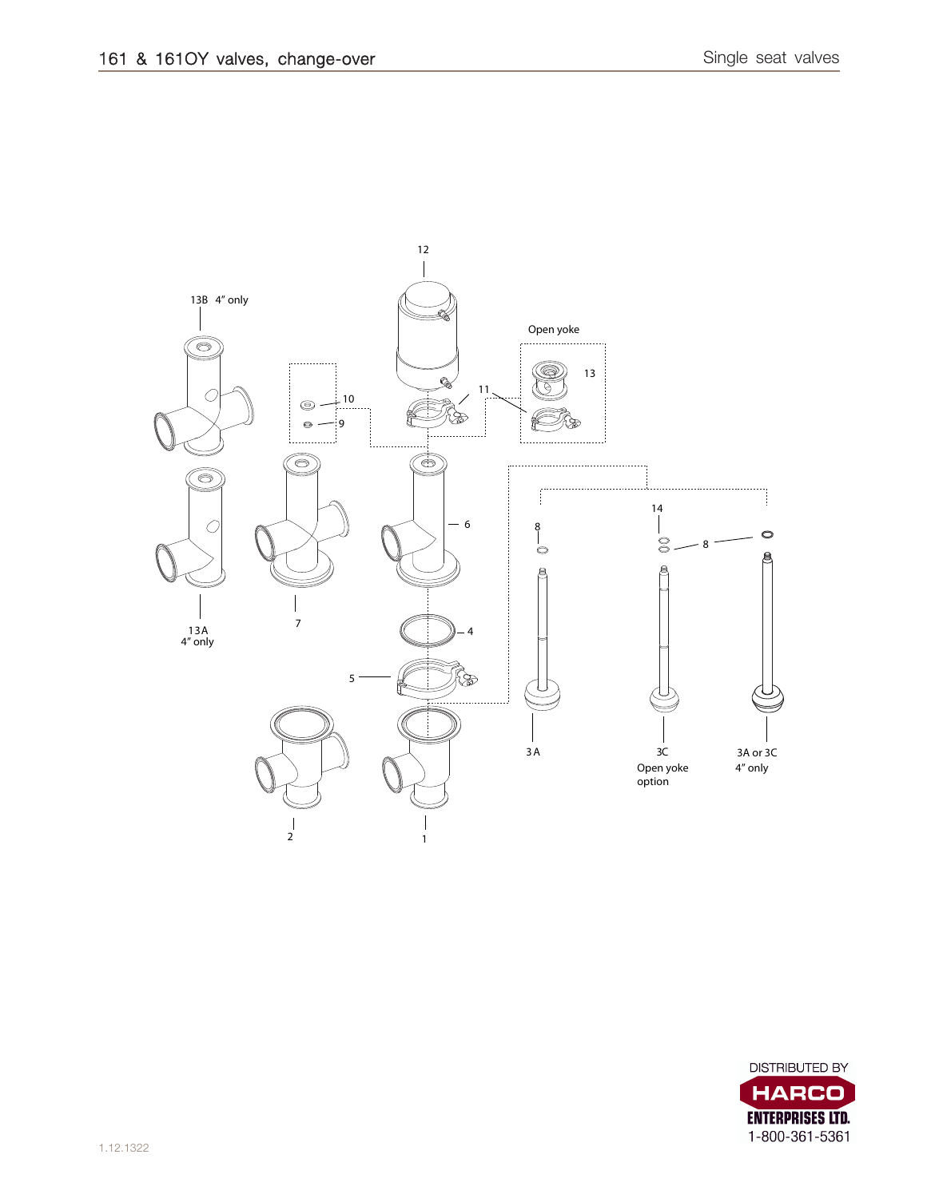

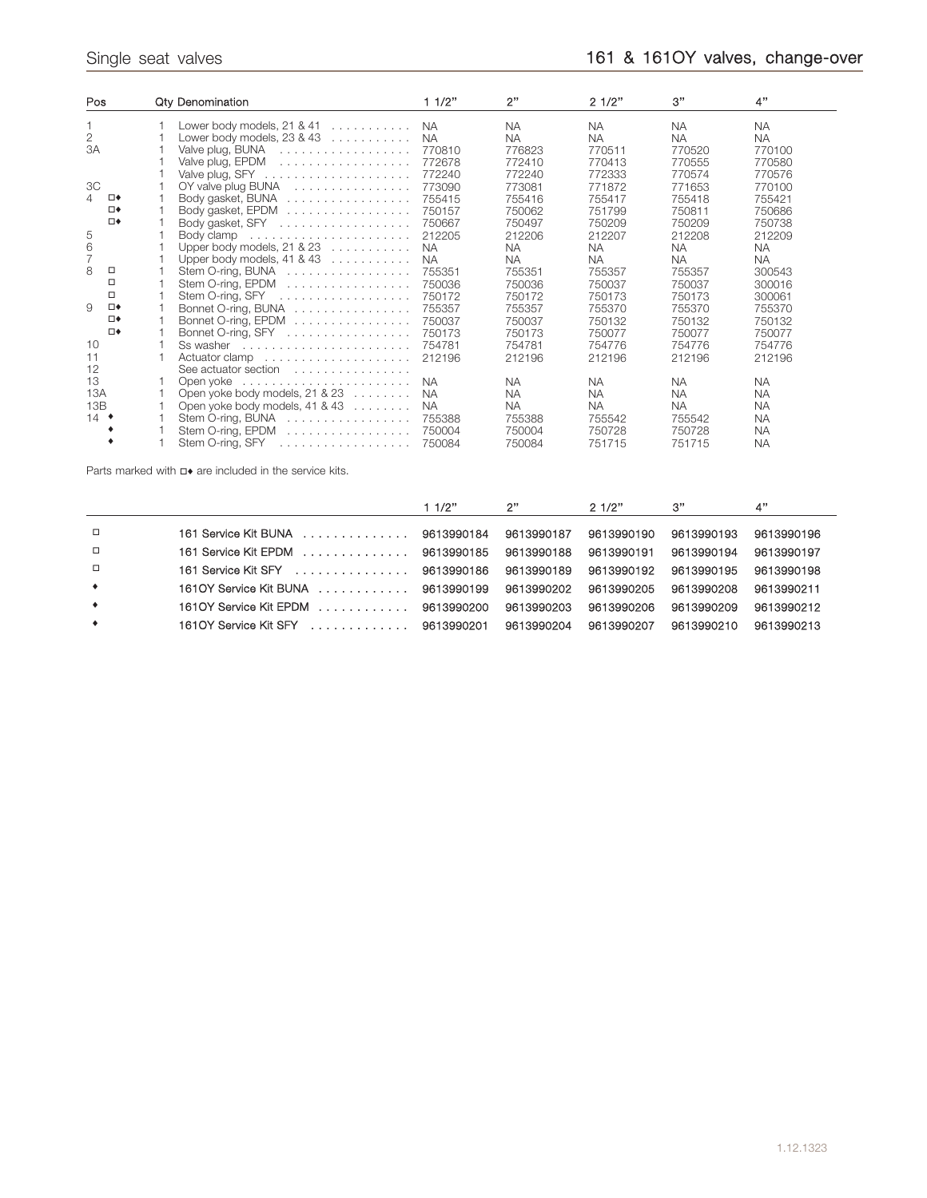| Pos            | <b>Qty Denomination</b>                                        | 11/2"     | 2"        | 21/2"     | 3"        | 4"        |
|----------------|----------------------------------------------------------------|-----------|-----------|-----------|-----------|-----------|
|                | Lower body models, $21$ & $41$                                 | <b>NA</b> | <b>NA</b> | <b>NA</b> | <b>NA</b> | <b>NA</b> |
| $\overline{2}$ | Lower body models, $23 & 43$                                   | <b>NA</b> | <b>NA</b> | <b>NA</b> | <b>NA</b> | <b>NA</b> |
| 3A             | Valve plug, BUNA                                               | 770810    | 776823    | 770511    | 770520    | 770100    |
|                |                                                                | 772678    | 772410    | 770413    | 770555    | 770580    |
|                |                                                                | 772240    | 772240    | 772333    | 770574    | 770576    |
| 3C             | OY valve plug BUNA                                             | 773090    | 773081    | 771872    | 771653    | 770100    |
| 4<br>⊡◆        | Body gasket, BUNA                                              | 755415    | 755416    | 755417    | 755418    | 755421    |
| □◆             | Body gasket, EPDM                                              | 750157    | 750062    | 751799    | 750811    | 750686    |
| □◆             | Body gasket, SFY                                               | 750667    | 750497    | 750209    | 750209    | 750738    |
| 5              |                                                                | 212205    | 212206    | 212207    | 212208    | 212209    |
| 6              | Upper body models, 21 & 23                                     | <b>NA</b> | <b>NA</b> | <b>NA</b> | <b>NA</b> | <b>NA</b> |
| $\overline{7}$ | Upper body models, $41 & 43$                                   | <b>NA</b> | <b>NA</b> | <b>NA</b> | <b>NA</b> | <b>NA</b> |
| 8<br>□         | Stem O-ring, BUNA                                              | 755351    | 755351    | 755357    | 755357    | 300543    |
| □              | Stem O-ring, EPDM                                              | 750036    | 750036    | 750037    | 750037    | 300016    |
| □              |                                                                | 750172    | 750172    | 750173    | 750173    | 300061    |
| 9<br>⊡♦        | Bonnet O-ring, BUNA                                            | 755357    | 755357    | 755370    | 755370    | 755370    |
| □◆             | Bonnet O-ring, EPDM                                            | 750037    | 750037    | 750132    | 750132    | 750132    |
| □◆             | Bonnet O-ring, SFY                                             | 750173    | 750173    | 750077    | 750077    | 750077    |
| 10             | Ss washer $\dots\dots\dots\dots\dots\dots\dots\dots\dots\dots$ | 754781    | 754781    | 754776    | 754776    | 754776    |
| 11             |                                                                | 212196    | 212196    | 212196    | 212196    | 212196    |
| 12             | See actuator section                                           |           |           |           |           |           |
| 13             |                                                                | <b>NA</b> | <b>NA</b> | <b>NA</b> | <b>NA</b> | <b>NA</b> |
| 13A            | Open yoke body models, 21 & 23                                 | <b>NA</b> | <b>NA</b> | <b>NA</b> | <b>NA</b> | <b>NA</b> |
| 13B            | Open yoke body models, $41 & 43$                               | <b>NA</b> | NA.       | <b>NA</b> | <b>NA</b> | <b>NA</b> |
| $14$ $\bullet$ | Stem O-ring, BUNA                                              | 755388    | 755388    | 755542    | 755542    | <b>NA</b> |
|                | Stem O-ring, EPDM $\ldots \ldots \ldots \ldots \ldots$         | 750004    | 750004    | 750728    | 750728    | <b>NA</b> |
|                | Stem O-ring, SFY                                               | 750084    | 750084    | 751715    | 751715    | <b>NA</b> |
|                |                                                                |           |           |           |           |           |

Parts marked with  $\Box\bullet$  are included in the service kits.

|           |                                      | 11/2" | 2"         | 21/2"      | 3"         | 4"         |
|-----------|--------------------------------------|-------|------------|------------|------------|------------|
|           |                                      |       |            |            |            |            |
| $\Box$    | 161 Service Kit BUNA (etc 9613990184 |       | 9613990187 | 9613990190 | 9613990193 | 9613990196 |
| $\Box$    | 161 Service Kit EPDM 9613990185      |       | 9613990188 | 9613990191 | 9613990194 | 9613990197 |
| $\Box$    | 161 Service Kit SFY 9613990186       |       | 9613990189 | 9613990192 | 9613990195 | 9613990198 |
| $\bullet$ | 1610Y Service Kit BUNA 9613990199    |       | 9613990202 | 9613990205 | 9613990208 | 9613990211 |
| $\bullet$ | 1610Y Service Kit EPDM 9613990200    |       | 9613990203 | 9613990206 | 9613990209 | 9613990212 |
| $\bullet$ | 1610Y Service Kit SFY  9613990201    |       | 9613990204 | 9613990207 | 9613990210 | 9613990213 |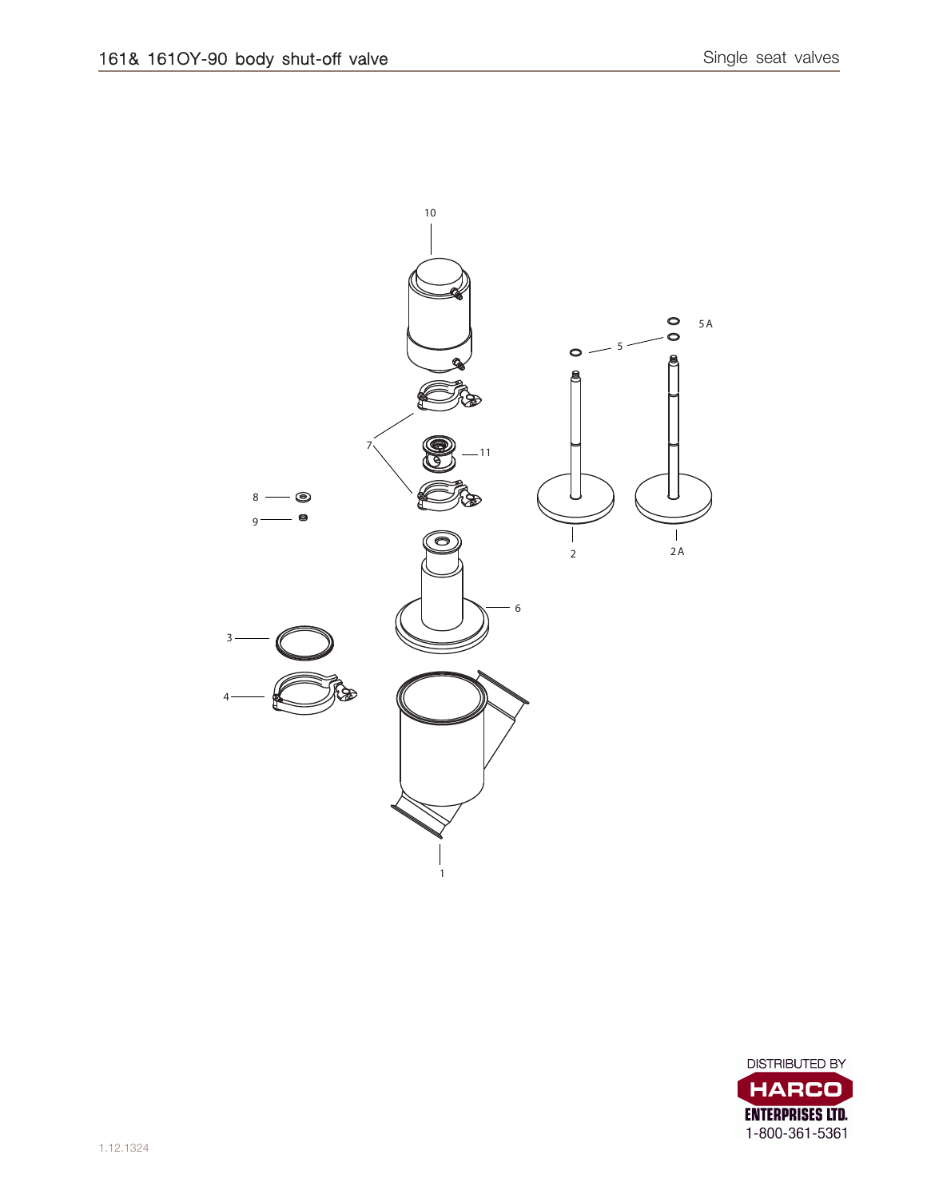

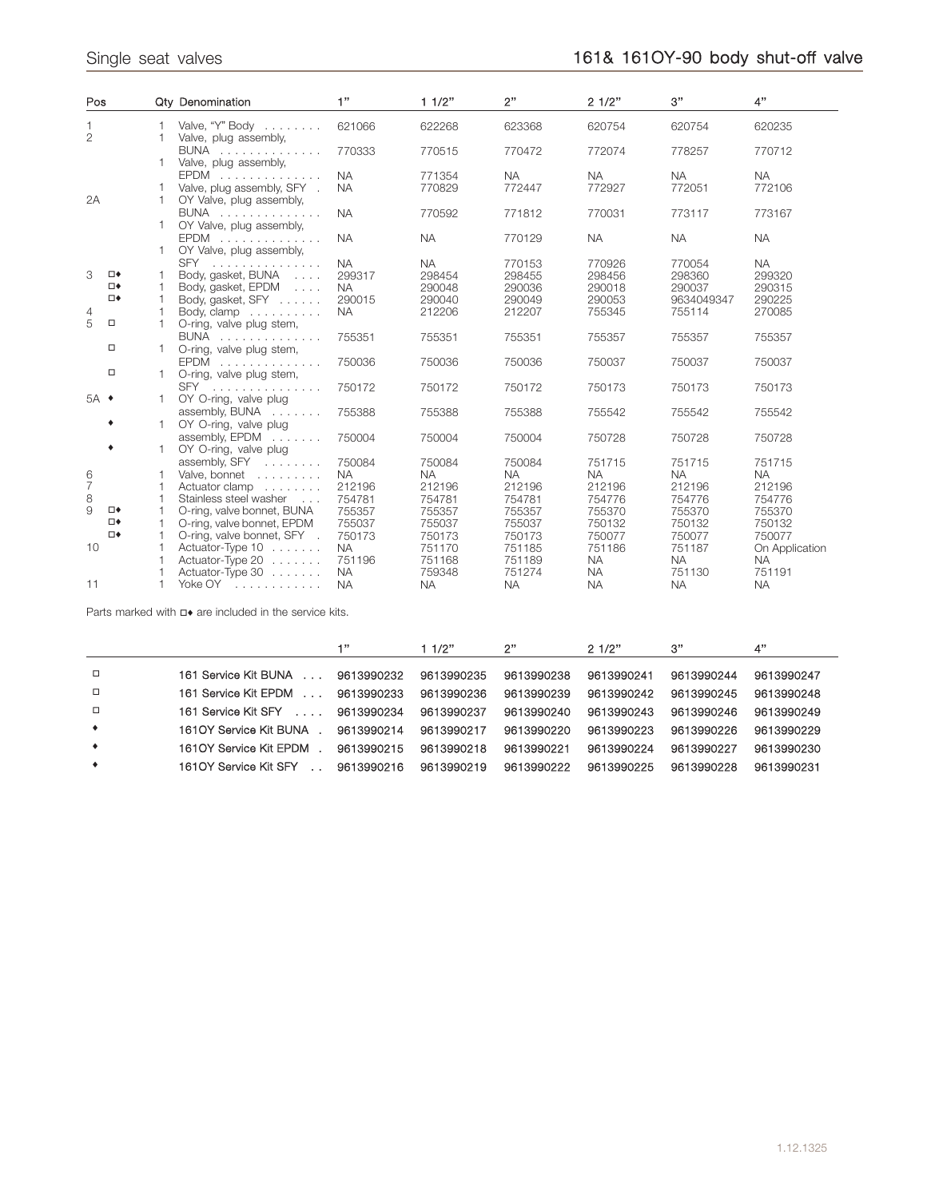| Pos            |                              |    | Qty Denomination                                                          | 1"                               | 11/2"                         | 2"                            | 21/2"                         | 3"                            | 4"                            |
|----------------|------------------------------|----|---------------------------------------------------------------------------|----------------------------------|-------------------------------|-------------------------------|-------------------------------|-------------------------------|-------------------------------|
| $\overline{2}$ |                              | 1  | Valve, "Y" Body<br>Valve, plug assembly,                                  | 621066                           | 622268                        | 623368                        | 620754                        | 620754                        | 620235                        |
|                |                              |    | BUNA<br>Valve, plug assembly,                                             | 770333                           | 770515                        | 770472                        | 772074                        | 778257                        | 770712                        |
|                |                              |    | EPDM<br>Valve, plug assembly, SFY .                                       | <b>NA</b><br><b>NA</b>           | 771354<br>770829              | <b>NA</b><br>772447           | <b>NA</b><br>772927           | <b>NA</b><br>772051           | <b>NA</b><br>772106           |
| 2A             |                              | 1. | OY Valve, plug assembly,<br>BUNA<br>OY Valve, plug assembly,              | <b>NA</b>                        | 770592                        | 771812                        | 770031                        | 773117                        | 773167                        |
|                |                              |    | EPDM<br>OY Valve, plug assembly,                                          | <b>NA</b>                        | <b>NA</b>                     | 770129                        | <b>NA</b>                     | <b>NA</b>                     | <b>NA</b>                     |
| 3              | $\square\blacklozenge$<br>□◆ |    | SFY<br>Body, gasket, BUNA<br>Body, gasket, EPDM                           | <b>NA</b><br>299317<br><b>NA</b> | <b>NA</b><br>298454<br>290048 | 770153<br>298455<br>290036    | 770926<br>298456<br>290018    | 770054<br>298360<br>290037    | <b>NA</b><br>299320<br>290315 |
| 4              | □◆                           | 1  | Body, gasket, SFY<br>Body, clamp                                          | 290015<br><b>NA</b>              | 290040<br>212206              | 290049<br>212207              | 290053<br>755345              | 9634049347<br>755114          | 290225<br>270085              |
| 5              | $\Box$                       | 1  | O-ring, valve plug stem,<br>BUNA                                          | 755351                           | 755351                        | 755351                        | 755357                        | 755357                        | 755357                        |
|                | □<br>$\Box$                  |    | O-ring, valve plug stem,<br>EPDM                                          | 750036                           | 750036                        | 750036                        | 750037                        | 750037                        | 750037                        |
| $5A$ $\bullet$ |                              |    | O-ring, valve plug stem,<br>SFY<br>OY O-ring, valve plug                  | 750172                           | 750172                        | 750172                        | 750173                        | 750173                        | 750173                        |
|                |                              | 1  | assembly, BUNA<br>OY O-ring, valve plug                                   | 755388                           | 755388                        | 755388                        | 755542                        | 755542                        | 755542                        |
|                | ٠                            | 1. | assembly, $EPDM$<br>OY O-ring, valve plug                                 | 750004                           | 750004                        | 750004                        | 750728                        | 750728                        | 750728                        |
| $\frac{6}{7}$  |                              |    | assembly, SFY<br>Valve, bonnet<br>Actuator clamp                          | 750084<br><b>NA</b><br>212196    | 750084<br><b>NA</b><br>212196 | 750084<br><b>NA</b><br>212196 | 751715<br><b>NA</b><br>212196 | 751715<br><b>NA</b><br>212196 | 751715<br><b>NA</b><br>212196 |
| 8<br>9         | □◆                           |    | Stainless steel washer<br>$\sim$ 100 $\sim$<br>O-ring, valve bonnet, BUNA | 754781<br>755357                 | 754781<br>755357              | 754781<br>755357              | 754776<br>755370              | 754776<br>755370              | 754776<br>755370              |
|                | □◆<br>□◆                     |    | O-ring, valve bonnet, EPDM<br>O-ring, valve bonnet, SFY .                 | 755037<br>750173                 | 755037<br>750173              | 755037<br>750173              | 750132<br>750077              | 750132<br>750077              | 750132<br>750077              |
| 10             |                              |    | Actuator-Type 10<br>Actuator-Type 20                                      | <b>NA</b><br>751196              | 751170<br>751168              | 751185<br>751189              | 751186<br><b>NA</b>           | 751187<br><b>NA</b>           | On Application<br><b>NA</b>   |
| 11             |                              |    | Actuator-Type 30<br>Yoke OY                                               | <b>NA</b><br><b>NA</b>           | 759348<br><b>NA</b>           | 751274<br><b>NA</b>           | <b>NA</b><br><b>NA</b>        | 751130<br><b>NA</b>           | 751191<br><b>NA</b>           |

Parts marked with  $\Box$  are included in the service kits.

|           |                        | 42         | 11/2"      | 2"         | 2.1/2"     | 3"         | 4"         |
|-----------|------------------------|------------|------------|------------|------------|------------|------------|
| $\Box$    | 161 Service Kit BUNA   | 9613990232 | 9613990235 | 9613990238 | 9613990241 | 9613990244 | 9613990247 |
| $\Box$    | 161 Service Kit EPDM   | 9613990233 | 9613990236 | 9613990239 | 9613990242 | 9613990245 | 9613990248 |
| $\Box$    | 161 Service Kit SFY    | 9613990234 | 9613990237 | 9613990240 | 9613990243 | 9613990246 | 9613990249 |
| $\bullet$ | 1610Y Service Kit BUNA | 9613990214 | 9613990217 | 9613990220 | 9613990223 | 9613990226 | 9613990229 |
| $\bullet$ | 1610Y Service Kit EPDM | 9613990215 | 9613990218 | 9613990221 | 9613990224 | 9613990227 | 9613990230 |
| $\bullet$ | 1610Y Service Kit SFY  | 9613990216 | 9613990219 | 9613990222 | 9613990225 | 9613990228 | 9613990231 |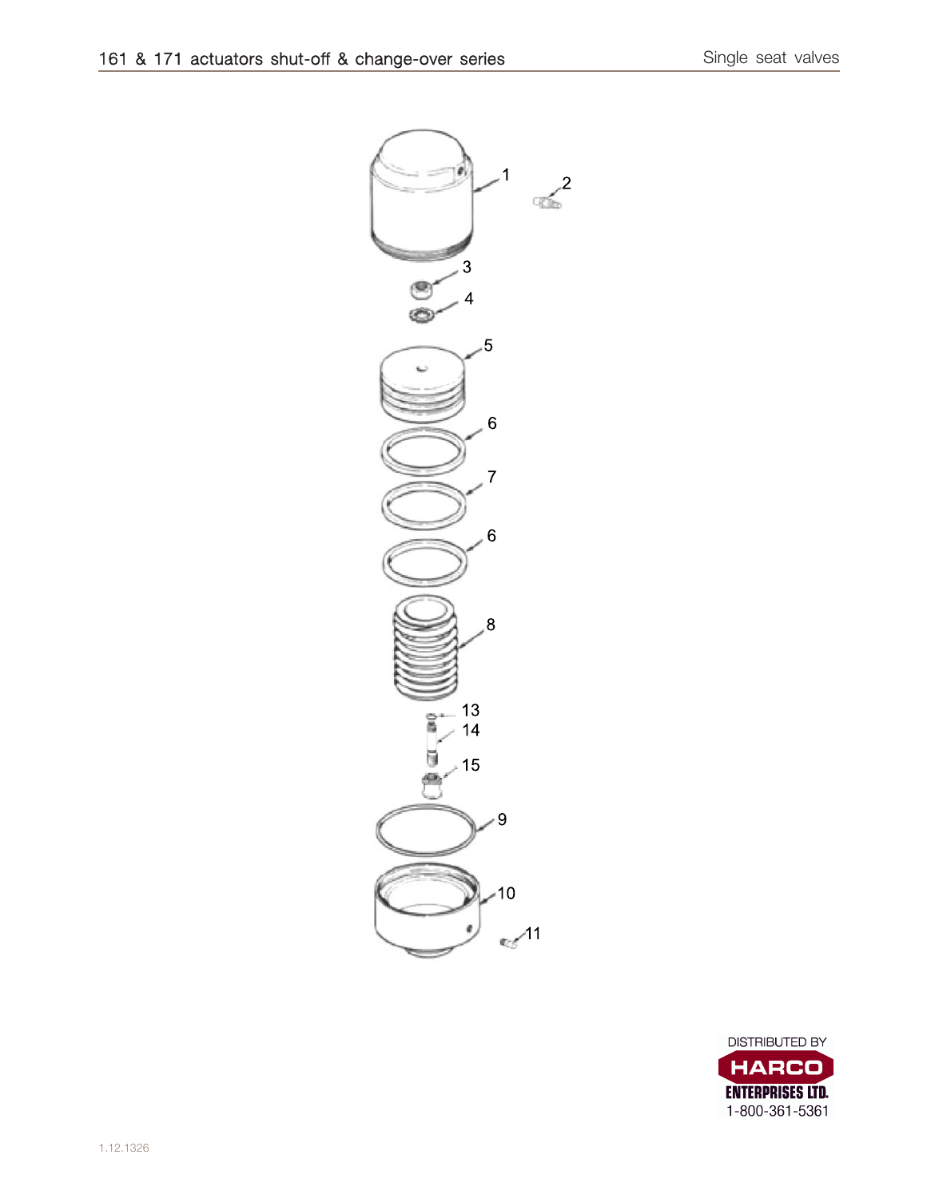